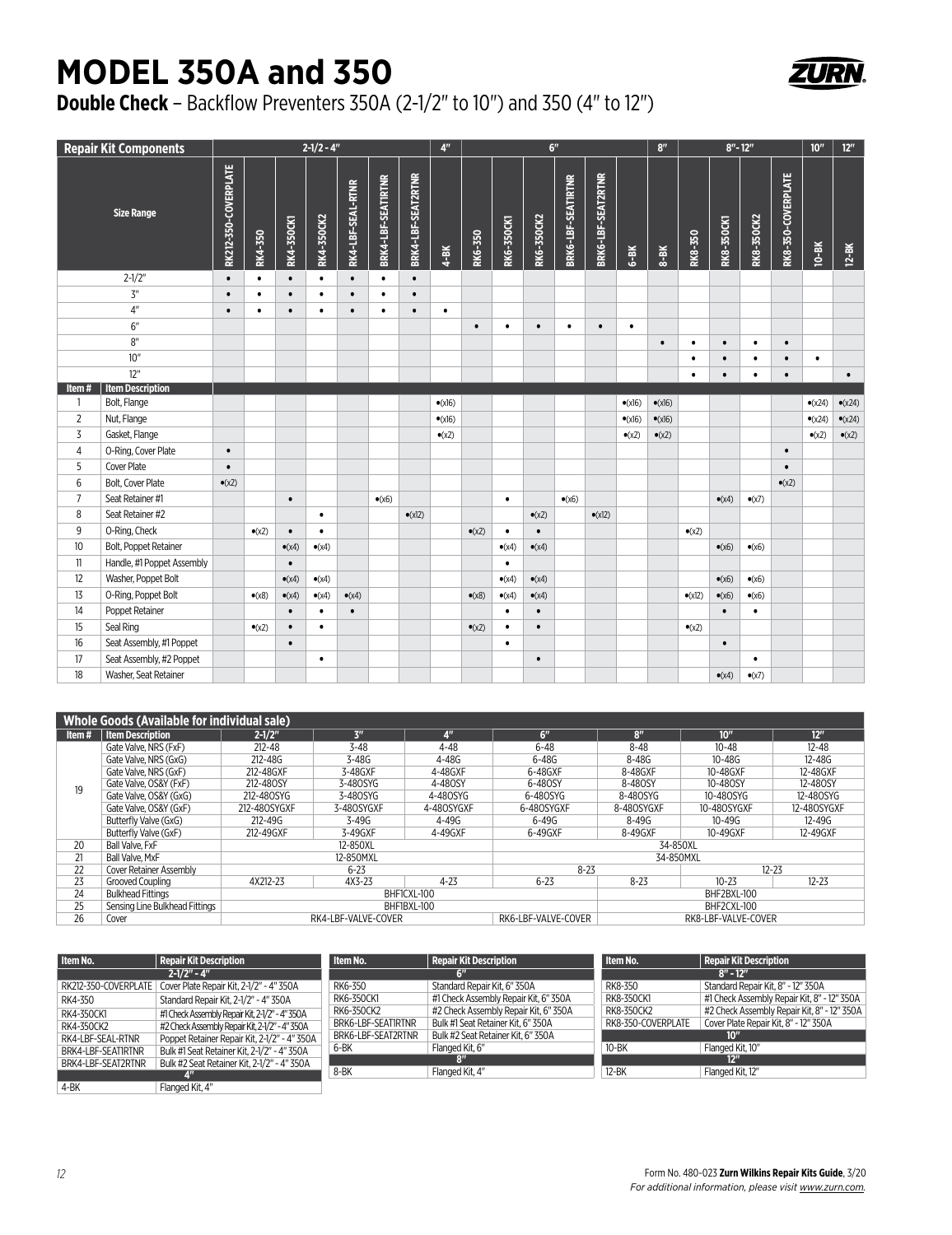## **MODEL 350A and 350**



## **Double Check** – Backflow Preventers 350A (2-1/2" to 10") and 350 (4" to 12")

| <b>Repair Kit Components</b> |                            |                      | $2 - 1/2 - 4$ " |                   |                |                   |                    | 4 <sup>n</sup>     | 6 <sup>n</sup>  |                |                |                   |                    |                    | 8 <sup>n</sup>  | $8" - 12"$      |                 |                   | 10 <sup>''</sup> | $12m$              |                 |                 |
|------------------------------|----------------------------|----------------------|-----------------|-------------------|----------------|-------------------|--------------------|--------------------|-----------------|----------------|----------------|-------------------|--------------------|--------------------|-----------------|-----------------|-----------------|-------------------|------------------|--------------------|-----------------|-----------------|
| <b>Size Range</b>            |                            | RK212-350-COVERPLATE | RK4-350         | <b>RK4-350CK1</b> | RK4-350CK2     | RK4-LBF-SEAL-RTNR | BRK4-LBF-SEATIRTNR | BRK4-LBF-SEAT2RTNR | $4-BK$          | RK6-350        | RK6-350CK1     | <b>RK6-350CK2</b> | BRK6-LBF-SEATIRTNR | BRK6-LBF-SEAT2RTNR | $6-8K$          | $8 - 8K$        | RK8-350         | <b>RK8-350CK1</b> | RK8-350CK2       | RK8-350-COVERPLATE | $10-8K$         | $12 - BK$       |
|                              | $2 - 1/2"$                 | $\bullet$            | $\bullet$       | $\bullet$         | $\bullet$      | $\bullet$         | $\bullet$          | $\bullet$          |                 |                |                |                   |                    |                    |                 |                 |                 |                   |                  |                    |                 |                 |
| 3 <sup>n</sup>               |                            | $\bullet$            | ٠               | $\bullet$         | $\bullet$      | $\bullet$         | ٠                  | $\bullet$          |                 |                |                |                   |                    |                    |                 |                 |                 |                   |                  |                    |                 |                 |
|                              | 4 <sup>n</sup>             | $\bullet$            | $\bullet$       |                   | $\bullet$      | $\bullet$         | ٠                  | $\bullet$          | $\bullet$       |                |                |                   |                    |                    |                 |                 |                 |                   |                  |                    |                 |                 |
|                              | 6"                         |                      |                 |                   |                |                   |                    |                    |                 | $\bullet$      | $\bullet$      | $\bullet$         | $\bullet$          | $\bullet$          | $\bullet$       |                 |                 |                   |                  |                    |                 |                 |
| 8"                           |                            |                      |                 |                   |                |                   |                    |                    |                 |                |                |                   |                    |                    |                 | $\bullet$       | ٠               | $\bullet$         | $\bullet$        | $\bullet$          |                 |                 |
| 10"                          |                            |                      |                 |                   |                |                   |                    |                    |                 |                |                |                   |                    |                    |                 |                 | $\bullet$       |                   | ٠                | $\bullet$          | $\bullet$       |                 |
|                              | 12"                        |                      |                 |                   |                |                   |                    |                    |                 |                |                |                   |                    |                    |                 |                 | $\bullet$       | $\bullet$         | $\bullet$        | $\bullet$          |                 | $\bullet$       |
| Item#                        | <b>Item Description</b>    |                      |                 |                   |                |                   |                    |                    |                 |                |                |                   |                    |                    |                 |                 |                 |                   |                  |                    |                 |                 |
| 1                            | Bolt, Flange               |                      |                 |                   |                |                   |                    |                    | $\bullet$ (x16) |                |                |                   |                    |                    | $\bullet$ (x16) | $\bullet$ (x16) |                 |                   |                  |                    | $\bullet$ (x24) | $\bullet$ (x24) |
| $\overline{2}$               | Nut, Flange                |                      |                 |                   |                |                   |                    |                    | $\bullet$ (x16) |                |                |                   |                    |                    | $\bullet$ (x16) | $\bullet$ (x16) |                 |                   |                  |                    | $\bullet$ (x24) | $\bullet$ (x24) |
| 3                            | Gasket, Flange             |                      |                 |                   |                |                   |                    |                    | $\bullet$ (x2)  |                |                |                   |                    |                    | $\bullet$ (x2)  | $\bullet$ (x2)  |                 |                   |                  |                    | $\bullet$ (x2)  | $\bullet$ (x2)  |
| $\overline{4}$               | O-Ring, Cover Plate        | $\bullet$            |                 |                   |                |                   |                    |                    |                 |                |                |                   |                    |                    |                 |                 |                 |                   |                  | $\bullet$          |                 |                 |
| 5                            | Cover Plate                | $\bullet$            |                 |                   |                |                   |                    |                    |                 |                |                |                   |                    |                    |                 |                 |                 |                   |                  | $\bullet$          |                 |                 |
| 6                            | Bolt, Cover Plate          | $\bullet$ (x2)       |                 |                   |                |                   |                    |                    |                 |                |                |                   |                    |                    |                 |                 |                 |                   |                  | $\bullet$ (x2)     |                 |                 |
| $\overline{7}$               | Seat Retainer #1           |                      |                 | $\bullet$         |                |                   | $\bullet$ (x6)     |                    |                 |                | $\bullet$      |                   | $\bullet$ (x6)     |                    |                 |                 |                 | $\bullet$ (x4)    | $\bullet$ (x7)   |                    |                 |                 |
| 8                            | Seat Retainer #2           |                      |                 |                   | $\bullet$      |                   |                    | $\bullet$ (x12)    |                 |                |                | $\bullet$ (x2)    |                    | $\bullet$ (x12)    |                 |                 |                 |                   |                  |                    |                 |                 |
| 9                            | O-Ring, Check              |                      | $\bullet$ (x2)  | $\bullet$         | $\bullet$      |                   |                    |                    |                 | $\bullet$ (x2) | $\bullet$      | $\bullet$         |                    |                    |                 |                 | $\bullet$ (x2)  |                   |                  |                    |                 |                 |
| 10                           | Bolt, Poppet Retainer      |                      |                 | $\bullet$ (x4)    | $\bullet$ (x4) |                   |                    |                    |                 |                | $\bullet$ (x4) | $\bullet$ (x4)    |                    |                    |                 |                 |                 | $\bullet$ (x6)    | $\bullet$ (x6)   |                    |                 |                 |
| 11                           | Handle, #1 Poppet Assembly |                      |                 | $\bullet$         |                |                   |                    |                    |                 |                | $\bullet$      |                   |                    |                    |                 |                 |                 |                   |                  |                    |                 |                 |
| 12                           | Washer, Poppet Bolt        |                      |                 | $\bullet$ (x4)    | $\bullet$ (x4) |                   |                    |                    |                 |                | $\bullet$ (x4) | $\bullet$ (x4)    |                    |                    |                 |                 |                 | $\bullet$ (x6)    | $\bullet$ (x6)   |                    |                 |                 |
| 13                           | O-Ring, Poppet Bolt        |                      | $\bullet$ (x8)  | $\bullet$ (x4)    | $\bullet$ (x4) | $\bullet$ (x4)    |                    |                    |                 | $\bullet$ (x8) | $\bullet$ (x4) | $\bullet$ (x4)    |                    |                    |                 |                 | $\bullet$ (x12) | $\bullet$ (x6)    | $\bullet$ (x6)   |                    |                 |                 |
| 14                           | Poppet Retainer            |                      |                 | $\bullet$         | $\bullet$      | $\bullet$         |                    |                    |                 |                | $\bullet$      | $\bullet$         |                    |                    |                 |                 |                 | $\bullet$         | $\bullet$        |                    |                 |                 |
| 15                           | Seal Ring                  |                      | $\bullet$ (x2)  | $\bullet$         | $\bullet$      |                   |                    |                    |                 | $\bullet$ (x2) | $\bullet$      | $\bullet$         |                    |                    |                 |                 | $\bullet$ (x2)  |                   |                  |                    |                 |                 |
| 16                           | Seat Assembly, #1 Poppet   |                      |                 | $\bullet$         |                |                   |                    |                    |                 |                | $\bullet$      |                   |                    |                    |                 |                 |                 | $\bullet$         |                  |                    |                 |                 |
| 17                           | Seat Assembly, #2 Poppet   |                      |                 |                   | $\bullet$      |                   |                    |                    |                 |                |                | $\bullet$         |                    |                    |                 |                 |                 |                   | $\bullet$        |                    |                 |                 |
| 18                           | Washer, Seat Retainer      |                      |                 |                   |                |                   |                    |                    |                 |                |                |                   |                    |                    |                 |                 |                 | $\bullet$ (x4)    | $\bullet$ (x7)   |                    |                 |                 |

| <b>Whole Goods (Available for individual sale)</b> |                                |                            |                     |                |                     |                     |                  |                 |  |  |
|----------------------------------------------------|--------------------------------|----------------------------|---------------------|----------------|---------------------|---------------------|------------------|-----------------|--|--|
| Item#                                              | <b>Item Description</b>        | $2 - 1/2$                  | 3 <sup>n</sup>      | 4 <sup>n</sup> | 6"                  | 8 <sup>n</sup>      | 10 <sup>''</sup> | 12 <sup>n</sup> |  |  |
|                                                    | Gate Valve, NRS (FxF)          | $212 - 48$                 | $3 - 48$            | $4 - 48$       | $6 - 48$            | $8 - 48$            | $10 - 48$        | $12 - 48$       |  |  |
|                                                    | Gate Valve. NRS (GxG)          | $212 - 48G$                | $3 - 48G$           | $4 - 48G$      | $6 - 48G$           | $8 - 48G$           | $10 - 48G$       | 12-48G          |  |  |
|                                                    | Gate Valve. NRS (GxF)          | 212-48GXF                  | 3-48GXF             | 4-48GXF        | 6-48GXF             | 8-48GXF             | 10-48GXF         | 12-48GXF        |  |  |
| 19                                                 | Gate Valve, OS&Y (FxF)         | 212-480SY                  | 3-480SYG            | 4-480SY        | 6-480SY             | 8-480SY             | 10-480SY         | 12-480SY        |  |  |
|                                                    | Gate Valve, OS&Y (GxG)         | 212-480SYG                 | 3-480SYG            | 4-480SYG       | 6-480SYG            | 8-480SYG            | 10-480SYG        | 12-480SYG       |  |  |
|                                                    | Gate Valve, OS&Y (GxF)         | 212-480SYGXF               | 3-480SYGXF          | 4-480SYGXF     | 6-480SYGXF          | 8-480SYGXF          | 10-480SYGXF      | 12-480SYGXF     |  |  |
|                                                    | Butterfly Valve (GxG)          | 212-49G                    | $3 - 49G$           | 4-49G          | $6 - 49G$           | 8-49G               | $10 - 49G$       | 12-49G          |  |  |
|                                                    | Butterfly Valve (GxF)          | 212-49GXF                  | 3-49GXF             | 4-49GXF        | 6-49GXF             | 8-49GXF             | 10-49GXF         | 12-49GXF        |  |  |
| 20                                                 | Ball Valve, FxF                |                            | 12-850XL            |                |                     | 34-850XL            |                  |                 |  |  |
| 21                                                 | Ball Valve, MxF                |                            | 12-850MXL           |                | 34-850MXL           |                     |                  |                 |  |  |
| 22                                                 | <b>Cover Retainer Assembly</b> |                            | $6 - 23$            |                | $8 - 23$            |                     | $12 - 23$        |                 |  |  |
| 23                                                 | Grooved Coupling               | 4X212-23                   | 4X3-23              | $4 - 23$       | $6 - 23$            | $8 - 23$            | $10 - 23$        | $12 - 23$       |  |  |
| 24                                                 | <b>Bulkhead Fittings</b>       |                            |                     | BHF1CXL-100    |                     |                     | BHF2BXL-100      |                 |  |  |
| 25                                                 | Sensing Line Bulkhead Fittings | BHF1BXL-100<br>BHF2CXL-100 |                     |                |                     |                     |                  |                 |  |  |
| 26                                                 | Cover                          |                            | RK4-LBF-VALVE-COVER |                | RK6-LBF-VALVE-COVER | RK8-LBF-VALVE-COVER |                  |                 |  |  |

| Item No.             | Repair Kit Description                         | Item No.           | <b>Repair Kit Description</b>         | Item No.           | <b>Repair Kit Description</b>               |
|----------------------|------------------------------------------------|--------------------|---------------------------------------|--------------------|---------------------------------------------|
|                      | $2 - 1/2" - 4"$                                |                    | ÆШ                                    |                    | $8" - 12"$                                  |
| RK212-350-COVERPLATE | Cover Plate Repair Kit, 2-1/2" - 4" 350A       | RK6-350            | Standard Repair Kit. 6" 350A          | RK8-350            | Standard Repair Kit. 8" - 12" 350A          |
| RK4-350              | Standard Repair Kit. 2-1/2" - 4" 350A          | RK6-350CK1         | #1 Check Assembly Repair Kit, 6" 350A | RK8-350CK1         | #1 Check Assembly Repair Kit, 8" - 12" 350A |
| RK4-350CK1           | #1 Check Assembly Repair Kit, 2-1/2" - 4" 350A | RK6-350CK2         | #2 Check Assembly Repair Kit. 6" 350A | RK8-350CK2         | #2 Check Assembly Repair Kit. 8" - 12" 350A |
| RK4-350CK2           | #2 Check Assembly Repair Kit. 2-1/2" - 4" 350A | BRK6-LBF-SEAT1RTNR | Bulk #1 Seat Retainer Kit. 6" 350A    | RK8-350-COVERPLATE | Cover Plate Repair Kit. 8" - 12" 350A       |
| RK4-LBF-SEAL-RTNR    | Poppet Retainer Repair Kit. 2-1/2" - 4" 350A   | BRK6-LBF-SEAT2RTNR | Bulk #2 Seat Retainer Kit. 6" 350A    |                    | 10 <sup>n</sup>                             |
| BRK4-LBF-SEATIRTNR   | Bulk #1 Seat Retainer Kit. 2-1/2" - 4" 350A    | 6-BK               | Flanged Kit, 6"                       | 10-BK              | Flanged Kit. 10"                            |
| BRK4-LBF-SEAT2RTNR   | Bulk #2 Seat Retainer Kit, 2-1/2" - 4" 350A    |                    | FШ                                    |                    | 12 <sup>n</sup>                             |
|                      | 4"                                             | 8-BK               | Flanged Kit, 4"                       | 12-BK              | Flanged Kit. 12"                            |
| 4-BK                 | Flanged Kit. 4"                                |                    |                                       |                    |                                             |